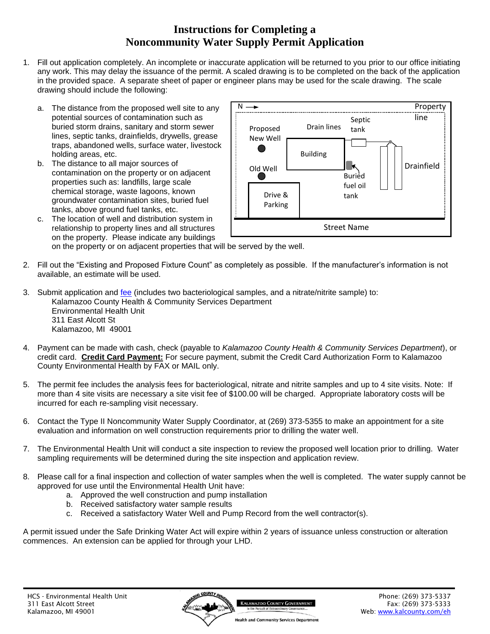## **Instructions for Completing a Noncommunity Water Supply Permit Application**

- 1. Fill out application completely. An incomplete or inaccurate application will be returned to you prior to our office initiating any work. This may delay the issuance of the permit. A scaled drawing is to be completed on the back of the application in the provided space. A separate sheet of paper or engineer plans may be used for the scale drawing. The scale drawing should include the following:
	- a. The distance from the proposed well site to any potential sources of contamination such as buried storm drains, sanitary and storm sewer lines, septic tanks, drainfields, drywells, grease traps, abandoned wells, surface water, livestock holding areas, etc.
	- b. The distance to all major sources of contamination on the property or on adjacent properties such as: landfills, large scale chemical storage, waste lagoons, known groundwater contamination sites, buried fuel tanks, above ground fuel tanks, etc.
	- c. The location of well and distribution system in relationship to property lines and all structures on the property. Please indicate any buildings



on the property or on adjacent properties that will be served by the well.

- 2. Fill out the "Existing and Proposed Fixture Count" as completely as possible. If the manufacturer's information is not available, an estimate will be used.
- 3. Submit application and [fee](http://www.kalcounty.com/eh/fees.htm) (includes two bacteriological samples, and a nitrate/nitrite sample) to: Kalamazoo County Health & Community Services Department Environmental Health Unit 311 East Alcott St Kalamazoo, MI 49001
- 4. Payment can be made with cash, check (payable to *Kalamazoo County Health & Community Services Department*), or credit card. **Credit Card Payment:** For secure payment, submit the Credit Card Authorization Form to Kalamazoo County Environmental Health by FAX or MAIL only.
- 5. The permit fee includes the analysis fees for bacteriological, nitrate and nitrite samples and up to 4 site visits. Note: If more than 4 site visits are necessary a site visit fee of \$100.00 will be charged. Appropriate laboratory costs will be incurred for each re-sampling visit necessary.
- 6. Contact the Type II Noncommunity Water Supply Coordinator, at (269) 373-5355 to make an appointment for a site evaluation and information on well construction requirements prior to drilling the water well.
- 7. The Environmental Health Unit will conduct a site inspection to review the proposed well location prior to drilling. Water sampling requirements will be determined during the site inspection and application review.
- 8. Please call for a final inspection and collection of water samples when the well is completed. The water supply cannot be approved for use until the Environmental Health Unit have:
	- a. Approved the well construction and pump installation
	- b. Received satisfactory water sample results
	- c. Received a satisfactory Water Well and Pump Record from the well contractor(s).

A permit issued under the Safe Drinking Water Act will expire within 2 years of issuance unless construction or alteration commences. An extension can be applied for through your LHD.

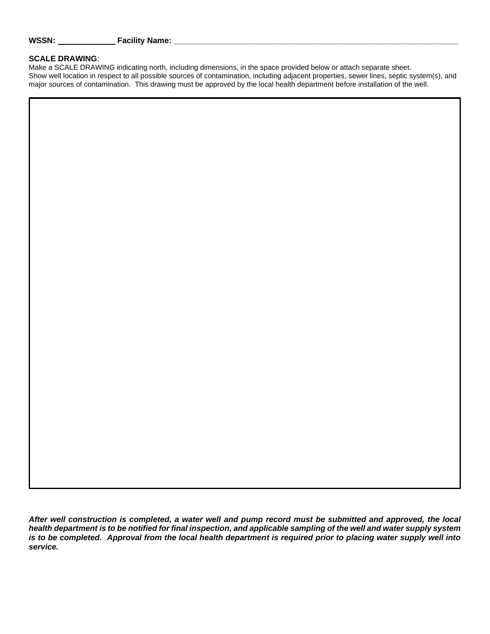#### **SCALE DRAWING**:

Make a SCALE DRAWING indicating north, including dimensions, in the space provided below or attach separate sheet. Show well location in respect to all possible sources of contamination, including adjacent properties, sewer lines, septic system(s), and major sources of contamination. This drawing must be approved by the local health department before installation of the well.

*After well construction is completed, a water well and pump record must be submitted and approved, the local health department is to be notified for final inspection, and applicable sampling of the well and water supply system is to be completed. Approval from the local health department is required prior to placing water supply well into service.*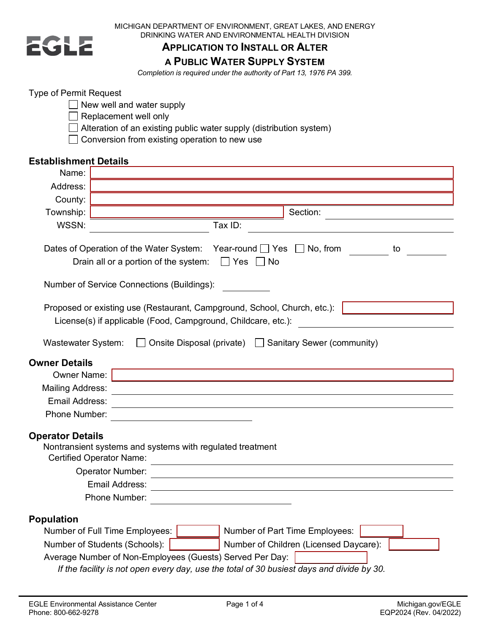

MICHIGAN DEPARTMENT OF ENVIRONMENT, GREAT LAKES, AND ENERGY DRINKING WATER AND ENVIRONMENTAL HEALTH DIVISION

### **APPLICATION TO INSTALL OR ALTER A PUBLIC WATER SUPPLY SYSTEM**

*Completion is required under the authority of Part 13, 1976 PA 399.*

#### Type of Permit Request

- New well and water supply
- $\Box$  Replacement well only
- $\Box$  Alteration of an existing public water supply (distribution system)
- □ Conversion from existing operation to new use

#### **Establishment Details**

| Name:                     |                                                                                                                                                       |  |  |  |  |
|---------------------------|-------------------------------------------------------------------------------------------------------------------------------------------------------|--|--|--|--|
| Address:                  |                                                                                                                                                       |  |  |  |  |
| County:                   |                                                                                                                                                       |  |  |  |  |
| Township:                 | Section:                                                                                                                                              |  |  |  |  |
| WSSN:                     | Tax ID:                                                                                                                                               |  |  |  |  |
|                           | Dates of Operation of the Water System: Year-round ■ Yes ■ No, from<br>to                                                                             |  |  |  |  |
|                           | $\Box$ Yes $\Box$<br>Drain all or a portion of the system:<br>∣No                                                                                     |  |  |  |  |
|                           | Number of Service Connections (Buildings):                                                                                                            |  |  |  |  |
|                           | Proposed or existing use (Restaurant, Campground, School, Church, etc.):<br>License(s) if applicable (Food, Campground, Childcare, etc.):             |  |  |  |  |
| <b>Wastewater System:</b> | Onsite Disposal (private) Sanitary Sewer (community)                                                                                                  |  |  |  |  |
| <b>Owner Details</b>      |                                                                                                                                                       |  |  |  |  |
| <b>Owner Name:</b>        |                                                                                                                                                       |  |  |  |  |
| <b>Mailing Address:</b>   |                                                                                                                                                       |  |  |  |  |
| Email Address:            |                                                                                                                                                       |  |  |  |  |
| Phone Number:             |                                                                                                                                                       |  |  |  |  |
| <b>Operator Details</b>   | Nontransient systems and systems with regulated treatment<br><b>Certified Operator Name:</b>                                                          |  |  |  |  |
|                           | Operator Number:                                                                                                                                      |  |  |  |  |
| <b>Email Address:</b>     |                                                                                                                                                       |  |  |  |  |
|                           | Phone Number:                                                                                                                                         |  |  |  |  |
| <b>Population</b>         |                                                                                                                                                       |  |  |  |  |
|                           | Number of Full Time Employees:<br>Number of Part Time Employees:                                                                                      |  |  |  |  |
|                           | Number of Students (Schools):<br>Number of Children (Licensed Daycare):                                                                               |  |  |  |  |
|                           | Average Number of Non-Employees (Guests) Served Per Day:<br>If the facility is not open every day, use the total of 30 busiest days and divide by 30. |  |  |  |  |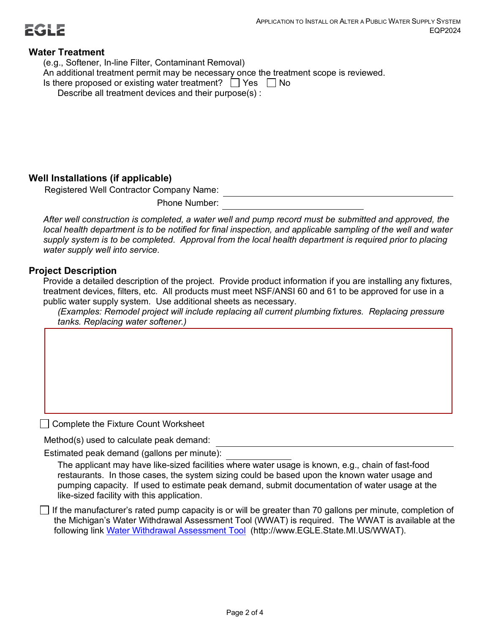

#### **Water Treatment**

(e.g., Softener, In-line Filter, Contaminant Removal) An additional treatment permit may be necessary once the treatment scope is reviewed. Is there proposed or existing water treatment?  $\Box$  Yes  $\Box$  No Describe all treatment devices and their purpose(s) :

#### **Well Installations (if applicable)**

Registered Well Contractor Company Name:

Phone Number:

*After well construction is completed, a water well and pump record must be submitted and approved, the local health department is to be notified for final inspection, and applicable sampling of the well and water supply system is to be completed. Approval from the local health department is required prior to placing water supply well into service.*

#### **Project Description**

Provide a detailed description of the project. Provide product information if you are installing any fixtures, treatment devices, filters, etc. All products must meet NSF/ANSI 60 and 61 to be approved for use in a public water supply system. Use additional sheets as necessary.

*(Examples: Remodel project will include replacing all current plumbing fixtures. Replacing pressure tanks. Replacing water softener.)*

□ Complete the Fixture Count Worksheet

Method(s) used to calculate peak demand:

Estimated peak demand (gallons per minute):

The applicant may have like-sized facilities where water usage is known, e.g., chain of fast-food restaurants. In those cases, the system sizing could be based upon the known water usage and pumping capacity. If used to estimate peak demand, submit documentation of water usage at the like-sized facility with this application.

 $\Box$  If the manufacturer's rated pump capacity is or will be greater than 70 gallons per minute, completion of the Michigan's Water Withdrawal Assessment Tool (WWAT) is required. The WWAT is available at the following link [Water Withdrawal Assessment Tool](https://www.michigan.gov/egle/0,9429,7-135-3313_3684_45331_45335-477090--,00.html) (http://www.EGLE.State.MI.US/WWAT).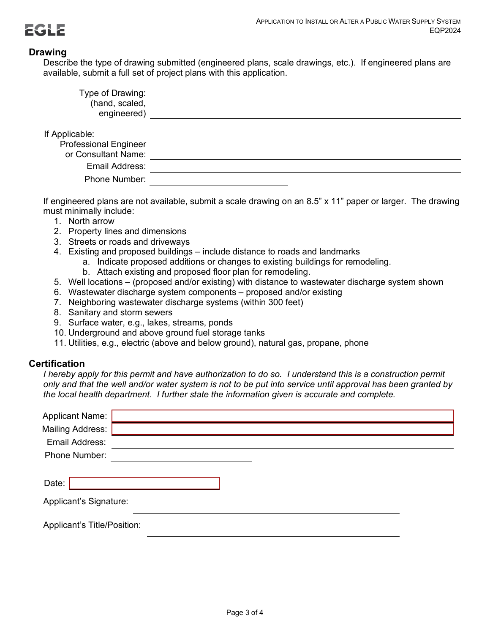

#### **Drawing**

Describe the type of drawing submitted (engineered plans, scale drawings, etc.). If engineered plans are available, submit a full set of project plans with this application.

| Type of Drawing:<br>(hand, scaled,<br>engineered)                     |  |
|-----------------------------------------------------------------------|--|
| If Applicable:<br><b>Professional Engineer</b><br>or Consultant Name: |  |
| Email Address:                                                        |  |
| Phone Number:                                                         |  |

If engineered plans are not available, submit a scale drawing on an 8.5" x 11" paper or larger. The drawing must minimally include:

- 1. North arrow
- 2. Property lines and dimensions
- 3. Streets or roads and driveways
- 4. Existing and proposed buildings include distance to roads and landmarks
	- a. Indicate proposed additions or changes to existing buildings for remodeling.
		- b. Attach existing and proposed floor plan for remodeling.
- 5. Well locations (proposed and/or existing) with distance to wastewater discharge system shown
- 6. Wastewater discharge system components proposed and/or existing
- 7. Neighboring wastewater discharge systems (within 300 feet)
- 8. Sanitary and storm sewers
- 9. Surface water, e.g., lakes, streams, ponds
- 10. Underground and above ground fuel storage tanks
- 11. Utilities, e.g., electric (above and below ground), natural gas, propane, phone

#### **Certification**

*I* hereby apply for this permit and have authorization to do so. I understand this is a construction permit *only and that the well and/or water system is not to be put into service until approval has been granted by the local health department. I further state the information given is accurate and complete.*

| <b>Applicant Name:</b>      |  |  |
|-----------------------------|--|--|
| <b>Mailing Address:</b>     |  |  |
| Email Address:              |  |  |
| Phone Number:               |  |  |
|                             |  |  |
| Date:                       |  |  |
| Applicant's Signature:      |  |  |
| Applicant's Title/Position: |  |  |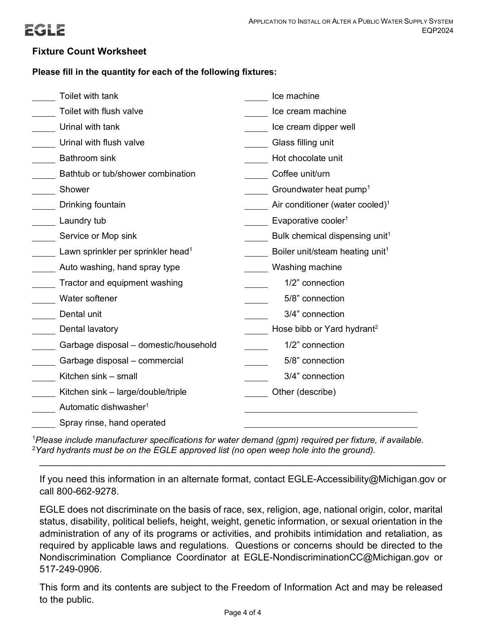

#### **Fixture Count Worksheet**

#### **Please fill in the quantity for each of the following fixtures:**

| Toilet with tank                               | Ice machine                                 |
|------------------------------------------------|---------------------------------------------|
| Toilet with flush valve                        | Ice cream machine                           |
| Urinal with tank                               | Ice cream dipper well                       |
| Urinal with flush valve                        | Glass filling unit                          |
| <b>Bathroom</b> sink                           | Hot chocolate unit                          |
| Bathtub or tub/shower combination              | Coffee unit/urn                             |
| Shower                                         | Groundwater heat pump <sup>1</sup>          |
| Drinking fountain                              | Air conditioner (water cooled) <sup>1</sup> |
| Laundry tub                                    | Evaporative cooler <sup>1</sup>             |
| Service or Mop sink                            | Bulk chemical dispensing unit <sup>1</sup>  |
| Lawn sprinkler per sprinkler head <sup>1</sup> | Boiler unit/steam heating unit <sup>1</sup> |
| Auto washing, hand spray type                  | Washing machine                             |
| Tractor and equipment washing                  | 1/2" connection                             |
| Water softener                                 | 5/8" connection                             |
| Dental unit                                    | 3/4" connection                             |
| Dental lavatory                                | Hose bibb or Yard hydrant <sup>2</sup>      |
| Garbage disposal - domestic/household          | 1/2" connection                             |
| Garbage disposal - commercial                  | 5/8" connection                             |
| Kitchen sink - small                           | 3/4" connection                             |
| Kitchen sink - large/double/triple             | Other (describe)                            |
| Automatic dishwasher <sup>1</sup>              |                                             |
| Spray rinse, hand operated                     |                                             |

1 *Please include manufacturer specifications for water demand (gpm) required per fixture, if available.* 2 *Yard hydrants must be on the EGLE approved list (no open weep hole into the ground).*

If you need this information in an alternate format, contact EGLE-Accessibility@Michigan.gov or call 800-662-9278.

\_\_\_\_\_\_\_\_\_\_\_\_\_\_\_\_\_\_\_\_\_\_\_\_\_\_\_\_\_\_\_\_\_\_\_\_\_\_\_\_\_\_\_\_\_\_\_\_\_\_\_\_\_\_\_\_\_\_\_\_\_\_\_\_\_\_\_\_\_\_\_\_\_\_\_\_

EGLE does not discriminate on the basis of race, sex, religion, age, national origin, color, marital status, disability, political beliefs, height, weight, genetic information, or sexual orientation in the administration of any of its programs or activities, and prohibits intimidation and retaliation, as required by applicable laws and regulations. Questions or concerns should be directed to the Nondiscrimination Compliance Coordinator at EGLE-NondiscriminationCC@Michigan.gov or 517-249-0906.

This form and its contents are subject to the Freedom of Information Act and may be released to the public.